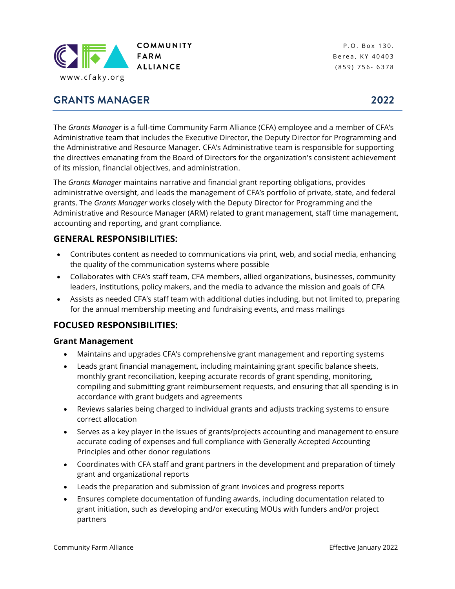

**GRANTS MANAGER** 

P.O. Box 130. Berea, KY 40403 ( 8 5 9 ) 7 5 6 - 6 3 7 8

The *Grants Manager* is a full-time Community Farm Alliance (CFA) employee and a member of CFA's Administrative team that includes the Executive Director, the Deputy Director for Programming and the Administrative and Resource Manager. CFA's Administrative team is responsible for supporting the directives emanating from the Board of Directors for the organization's consistent achievement of its mission, financial objectives, and administration.

The *Grants Manager* maintains narrative and financial grant reporting obligations, provides administrative oversight, and leads the management of CFA's portfolio of private, state, and federal grants. The *Grants Manager* works closely with the Deputy Director for Programming and the Administrative and Resource Manager (ARM) related to grant management, staff time management, accounting and reporting, and grant compliance.

## **GENERAL RESPONSIBILITIES:**

- Contributes content as needed to communications via print, web, and social media, enhancing the quality of the communication systems where possible
- Collaborates with CFA's staff team, CFA members, allied organizations, businesses, community leaders, institutions, policy makers, and the media to advance the mission and goals of CFA
- Assists as needed CFA's staff team with additional duties including, but not limited to, preparing for the annual membership meeting and fundraising events, and mass mailings

## **FOCUSED RESPONSIBILITIES:**

#### **Grant Management**

- Maintains and upgrades CFA's comprehensive grant management and reporting systems
- Leads grant financial management, including maintaining grant specific balance sheets, monthly grant reconciliation, keeping accurate records of grant spending, monitoring, compiling and submitting grant reimbursement requests, and ensuring that all spending is in accordance with grant budgets and agreements
- Reviews salaries being charged to individual grants and adjusts tracking systems to ensure correct allocation
- Serves as a key player in the issues of grants/projects accounting and management to ensure accurate coding of expenses and full compliance with Generally Accepted Accounting Principles and other donor regulations
- Coordinates with CFA staff and grant partners in the development and preparation of timely grant and organizational reports
- Leads the preparation and submission of grant invoices and progress reports
- Ensures complete documentation of funding awards, including documentation related to grant initiation, such as developing and/or executing MOUs with funders and/or project partners